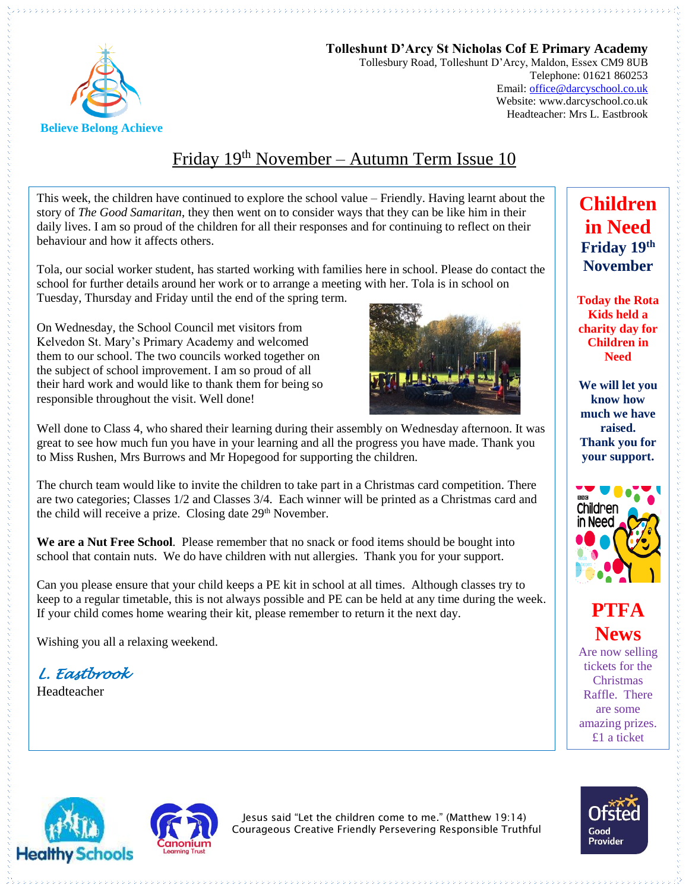

**Tolleshunt D'Arcy St Nicholas Cof E Primary Academy** Tollesbury Road, Tolleshunt D'Arcy, Maldon, Essex CM9 8UB Telephone: 01621 860253 Email[: office@darcyschool.co.uk](mailto:office@darcyschool.co.uk) Website: www.darcyschool.co.uk Headteacher: Mrs L. Eastbrook

# Friday 19<sup>th</sup> November – Autumn Term Issue 10

This week, the children have continued to explore the school value – Friendly. Having learnt about the story of *The Good Samaritan*, they then went on to consider ways that they can be like him in their daily lives. I am so proud of the children for all their responses and for continuing to reflect on their behaviour and how it affects others.

Tola, our social worker student, has started working with families here in school. Please do contact the school for further details around her work or to arrange a meeting with her. Tola is in school on Tuesday, Thursday and Friday until the end of the spring term.

On Wednesday, the School Council met visitors from Kelvedon St. Mary's Primary Academy and welcomed them to our school. The two councils worked together on the subject of school improvement. I am so proud of all their hard work and would like to thank them for being so responsible throughout the visit. Well done!



Well done to Class 4, who shared their learning during their assembly on Wednesday afternoon. It was great to see how much fun you have in your learning and all the progress you have made. Thank you to Miss Rushen, Mrs Burrows and Mr Hopegood for supporting the children.

The church team would like to invite the children to take part in a Christmas card competition. There are two categories; Classes 1/2 and Classes 3/4. Each winner will be printed as a Christmas card and the child will receive a prize. Closing date 29<sup>th</sup> November.

**We are a Nut Free School**. Please remember that no snack or food items should be bought into school that contain nuts. We do have children with nut allergies. Thank you for your support.

Can you please ensure that your child keeps a PE kit in school at all times. Although classes try to keep to a regular timetable, this is not always possible and PE can be held at any time during the week. If your child comes home wearing their kit, please remember to return it the next day.

Wishing you all a relaxing weekend.

*L. Eastbrook* 

Headteacher

**Friday 19th November Today the Rota Kids held a charity day for Children in** 

**Children** 

**in Need**

**We will let you know how much we have raised. Thank you for your support.**

**Need**



**PTFA News**

Are now selling tickets for the Christmas Raffle. There are some amazing prizes. £1 a ticket





Jesus said "Let the children come to me." (Matthew 19:14) Courageous Creative Friendly Persevering Responsible Truthful